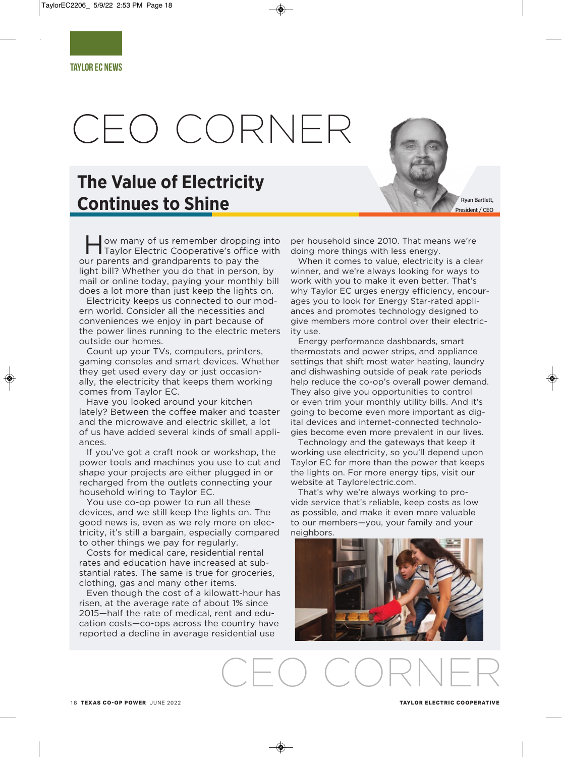# CEO CORNER

## **The Value of Electricity Continues to Shine**

ow many of us remember dropping into Taylor Electric Cooperative's office with our parents and grandparents to pay the light bill? Whether you do that in person, by mail or online today, paying your monthly bill does a lot more than just keep the lights on.

Electricity keeps us connected to our modern world. Consider all the necessities and conveniences we enjoy in part because of the power lines running to the electric meters outside our homes.

Count up your TVs, computers, printers, gaming consoles and smart devices. Whether they get used every day or just occasionally, the electricity that keeps them working comes from Taylor EC.

Have you looked around your kitchen lately? Between the coffee maker and toaster and the microwave and electric skillet, a lot of us have added several kinds of small appliances.

If you've got a craft nook or workshop, the power tools and machines you use to cut and shape your projects are either plugged in or recharged from the outlets connecting your household wiring to Taylor EC.

You use co-op power to run all these devices, and we still keep the lights on. The good news is, even as we rely more on electricity, it's still a bargain, especially compared to other things we pay for regularly.

Costs for medical care, residential rental rates and education have increased at substantial rates. The same is true for groceries, clothing, gas and many other items.

Even though the cost of a kilowatt-hour has risen, at the average rate of about 1% since 2015—half the rate of medical, rent and education costs—co-ops across the country have reported a decline in average residential use

per household since 2010. That means we're doing more things with less energy.

When it comes to value, electricity is a clear winner, and we're always looking for ways to work with you to make it even better. That's why Taylor EC urges energy efficiency, encourages you to look for Energy Star-rated appliances and promotes technology designed to give members more control over their electricity use.

Energy performance dashboards, smart thermostats and power strips, and appliance settings that shift most water heating, laundry and dishwashing outside of peak rate periods help reduce the co-op's overall power demand. They also give you opportunities to control or even trim your monthly utility bills. And it's going to become even more important as digital devices and internet-connected technologies become even more prevalent in our lives.

Technology and the gateways that keep it working use electricity, so you'll depend upon Taylor EC for more than the power that keeps the lights on. For more energy tips, visit our website at Taylorelectric.com.

That's why we're always working to provide service that's reliable, keep costs as low as possible, and make it even more valuable to our members—you, your family and your neighbors.



CEO CORNER

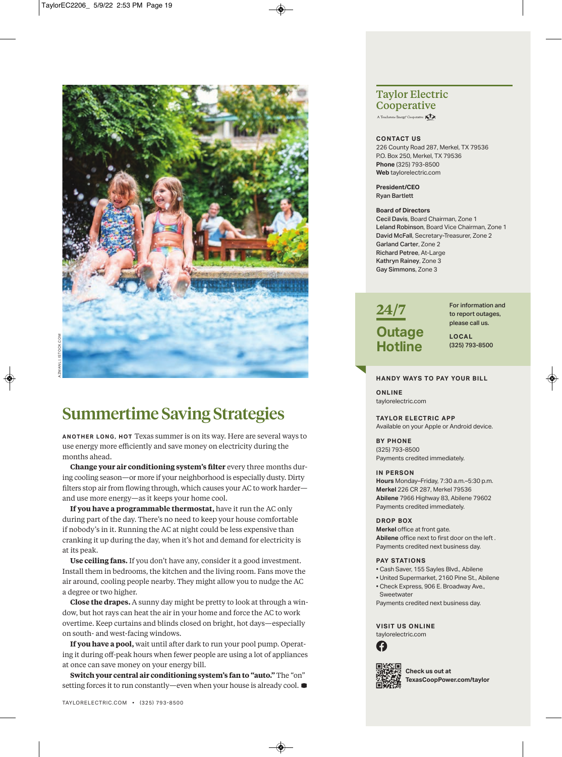

## **Summertime Saving Strategies**

**A n ot h e r lo n g , h ot** Texas summer is on its way. Here are several ways to use energy more efficiently and save money on electricity during the months ahead.

**Change your air conditioning system's filter** every three months during cooling season—or more if your neighborhood is especially dusty. Dirty filters stop air from flowing through, which causes your AC to work harder and use more energy—as it keeps your home cool.

**If you have a programmable thermostat,** have it run the AC only during part of the day. There's no need to keep your house comfortable if nobody's in it. Running the AC at night could be less expensive than cranking it up during the day, when it's hot and demand for electricity is at its peak.

**Use ceiling fans.** If you don't have any, consider it a good investment. Install them in bedrooms, the kitchen and the living room. Fans move the air around, cooling people nearby. They might allow you to nudge the AC a degree or two higher.

**Close the drapes.** A sunny day might be pretty to look at through a window, but hot rays can heat the air in your home and force the AC to work overtime. Keep curtains and blinds closed on bright, hot days—especially on south- and west-facing windows.

**If you have a pool,** wait until after dark to run your pool pump. Operating it during off-peak hours when fewer people are using a lot of appliances at once can save money on your energy bill.

**Switch your central air conditioning system's fan to "auto."** The "on" setting forces it to run constantly—even when your house is already cool. **D**

#### TAYLORELECTRIC.COM • (325) 793-8500

### **Taylor Electric Cooperative**

A Touchstone Energy<sup>®</sup> Cooperative

#### **ContACt US**

226 County Road 287, Merkel, TX 79536 P.O. Box 250, Merkel, TX 79536 **Phone** (325) 793-8500 **Web** taylorelectric.com

**President/Ceo**  Ryan Bartlett

#### **Board of Directors**

Cecil Davis, Board chairman, zone 1 Leland Robinson, Board Vice chairman, zone 1 David McFall, Secretary-Treasurer, Zone 2 Garland Carter, zone 2 Richard Petree, At-Large Kathryn Rainey, zone 3 Gay Simmons, zone 3



For information and to report outages, please call us.

**loCAl** (325) 793-8500

#### **hAnDY WAYS to PAY YoUr BIll**

**onlIne** taylorelectric.com

**tAYlor eleCtrIC APP**  Available on your Apple or Android device.

**BY Phone**  (325) 793-8500 Payments credited immediately.

#### **In PerSon**

**hours** monday–Friday, 7:30 a.m.–5:30 p.m. **Merkel** 226 cR 287, merkel 79536 **Abilene** 7966 Highway 83, Abilene 79602 Payments credited immediately.

#### **DroP Box**

**Merkel** office at front gate. **Abilene** office next to first door on the left . Payments credited next business day.

#### **PAY STATIONS**

- cash Saver, 155 Sayles Blvd., Abilene
- United Supermarket, 2160 Pine St., Abilene
- check Express, 906 E. Broadway Ave., **Sweetwater**
- Payments credited next business day.

**VISIt US onlIne** taylorelectric.com





**Check us out at texasCoopPower.com/taylor**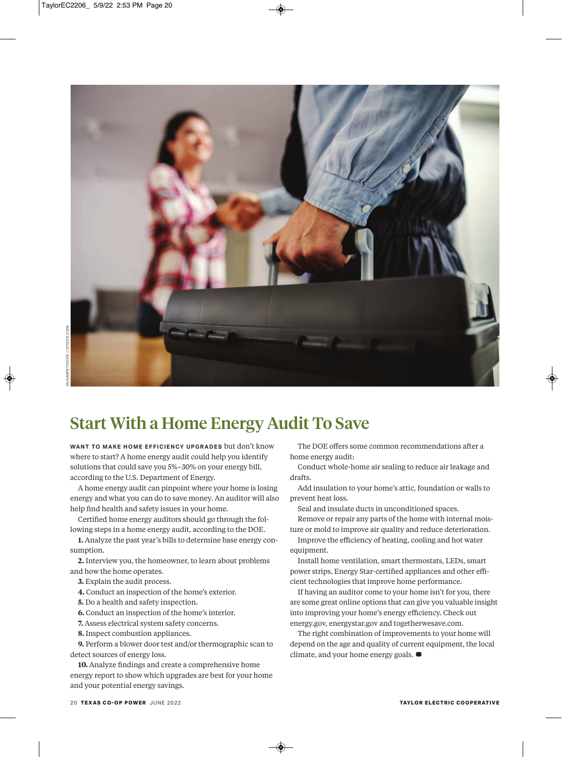

## **Start With a Home Energy Audit To Save**

WANT TO MAKE HOME EFFICIENCY UPGRADES but don't know where to start? A home energy audit could help you identify solutions that could save you 5%–30% on your energy bill, according to the U.S. Department of Energy.

A home energy audit can pinpoint where your home is losing energy and what you can do to save money. An auditor will also help find health and safety issues in your home.

Certified home energy auditors should go through the following steps in a home energy audit, according to the DOE.

**1.** Analyze the past year's bills to determine base energy consumption.

**2.** Interview you, the homeowner, to learn about problems and how the home operates.

- **3.** Explain the audit process.
- **4.** Conduct an inspection of the home's exterior.
- **5.** Do a health and safety inspection.
- **6.** Conduct an inspection of the home's interior.
- **7.** Assess electrical system safety concerns.
- **8.** Inspect combustion appliances.

**9.** Perform a blower door test and/or thermographic scan to detect sources of energy loss.

**10.** Analyze findings and create a comprehensive home energy report to show which upgrades are best for your home and your potential energy savings.

The DOE offers some common recommendations after a home energy audit:

Conduct whole-home air sealing to reduce air leakage and drafts.

Add insulation to your home's attic, foundation or walls to prevent heat loss.

Seal and insulate ducts in unconditioned spaces.

Remove or repair any parts of the home with internal moisture or mold to improve air quality and reduce deterioration.

Improve the efficiency of heating, cooling and hot water equipment.

Install home ventilation, smart thermostats, LEDs, smart power strips, Energy Star-certified appliances and other efficient technologies that improve home performance.

If having an auditor come to your home isn't for you, there are some great online options that can give you valuable insight into improving your home's energy efficiency. Check out energy.gov, energystar.gov and togetherwesave.com.

The right combination of improvements to your home will depend on the age and quality of current equipment, the local climate, and your home energy goals. **D**